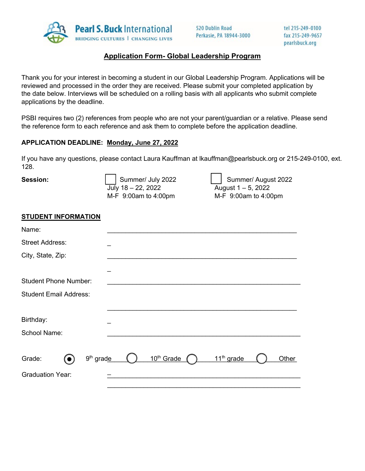

## **Application Form- Global Leadership Program**

Thank you for your interest in becoming a student in our Global Leadership Program. Applications will be reviewed and processed in the order they are received. Please submit your completed application by the date below. Interviews will be scheduled on a rolling basis with all applicants who submit complete applications by the deadline.

PSBI requires two (2) references from people who are not your parent/guardian or a relative. Please send the reference form to each reference and ask them to complete before the application deadline.

## **APPLICATION DEADLINE: Monday, June 27, 2022**

If you have any questions, please contact Laura Kauffman at lkauffman@pearlsbuck.org or 215-249-0100, ext. 128.

**Session:**

 $\overline{J^{U}}$  18 – 22, 2022 August 1 – 5, 2022 M-F 9:00am to 4:00pmM-F 9:00am to 4:00pm

Summer/ July 2022 Summer/ August 2022

## **STUDENT INFORMATION**

| Name:                                        |                        |                        |       |
|----------------------------------------------|------------------------|------------------------|-------|
| <b>Street Address:</b>                       |                        |                        |       |
| City, State, Zip:                            |                        |                        |       |
|                                              |                        |                        |       |
| <b>Student Phone Number:</b>                 |                        |                        |       |
| <b>Student Email Address:</b>                |                        |                        |       |
|                                              |                        |                        |       |
| Birthday:                                    |                        |                        |       |
| School Name:                                 |                        |                        |       |
|                                              |                        |                        |       |
| 9 <sup>th</sup> grade<br>Grade:<br>$\bullet$ | 10 <sup>th</sup> Grade | 11 <sup>th</sup> grade | Other |
| <b>Graduation Year:</b>                      |                        |                        |       |
|                                              |                        |                        |       |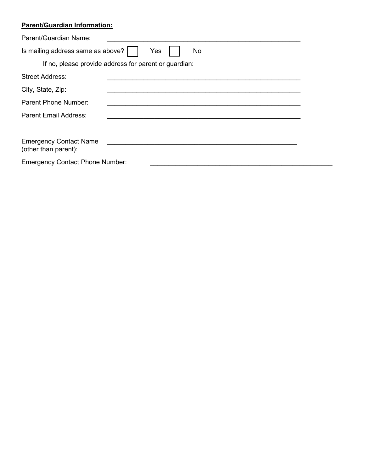## **Parent/Guardian Information:**

| Parent/Guardian Name:                                 |                                                       |  |
|-------------------------------------------------------|-------------------------------------------------------|--|
| Is mailing address same as above?                     | Yes<br>No                                             |  |
|                                                       | If no, please provide address for parent or guardian: |  |
| Street Address:                                       |                                                       |  |
| City, State, Zip:                                     |                                                       |  |
| Parent Phone Number:                                  |                                                       |  |
| <b>Parent Email Address:</b>                          |                                                       |  |
|                                                       |                                                       |  |
| <b>Emergency Contact Name</b><br>(other than parent): |                                                       |  |
| <b>Emergency Contact Phone Number:</b>                |                                                       |  |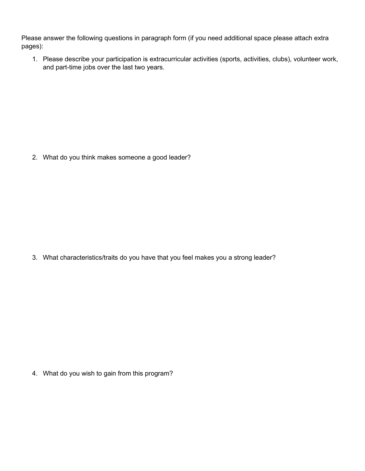Please answer the following questions in paragraph form (if you need additional space please attach extra pages):

1. Please describe your participation is extracurricular activities (sports, activities, clubs), volunteer work, and part-time jobs over the last two years.

2. What do you think makes someone a good leader?

3. What characteristics/traits do you have that you feel makes you a strong leader?

4. What do you wish to gain from this program?